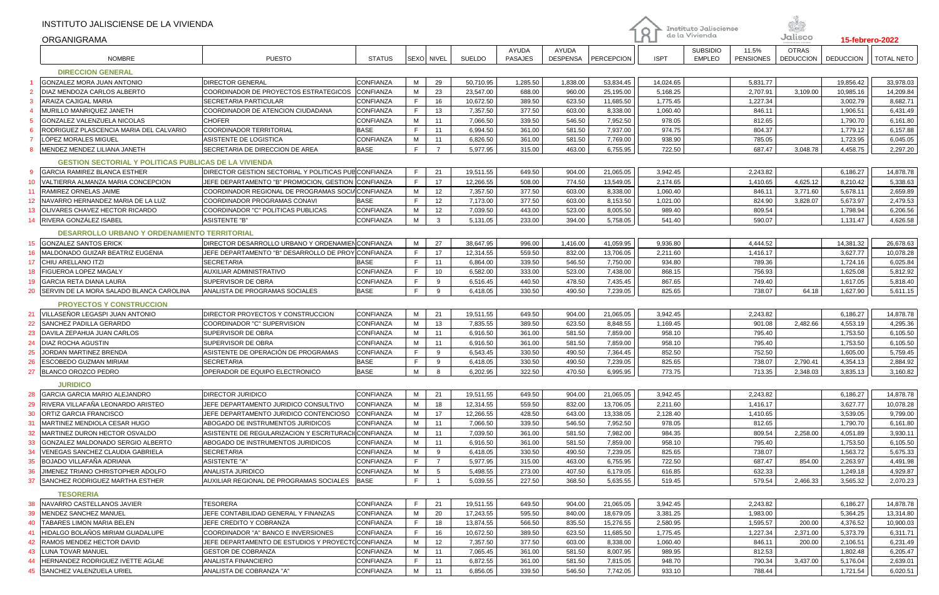|                 | INSTITUTO JALISCIENSE DE LA VIVIENDA<br><b>ORGANIGRAMA</b>                                   |                                                                                                            |                          |        |                |               |                         |                          |                        | $\mathsf R$          | <b>Instituto Jalisciense</b><br>de la Vivienda |                           | Jalisco                          |                      | <b>15-febrero-2022</b> |
|-----------------|----------------------------------------------------------------------------------------------|------------------------------------------------------------------------------------------------------------|--------------------------|--------|----------------|---------------|-------------------------|--------------------------|------------------------|----------------------|------------------------------------------------|---------------------------|----------------------------------|----------------------|------------------------|
|                 | <b>NOMBRE</b>                                                                                | <b>PUESTO</b>                                                                                              | <b>STATUS</b>            |        | SEXO NIVEL     | <b>SUELDO</b> | AYUDA<br><b>PASAJES</b> | AYUDA<br><b>DESPENSA</b> | PERCEPCION             | <b>ISPT</b>          | <b>SUBSIDIO</b><br><b>EMPLEO</b>               | 11.5%<br><b>PENSIONES</b> | <b>OTRAS</b><br><b>DEDUCCION</b> | <b>DEDUCCION</b>     | <b>TOTAL NETO</b>      |
|                 | <b>DIRECCION GENERAL</b>                                                                     |                                                                                                            |                          |        |                |               |                         |                          |                        |                      |                                                |                           |                                  |                      |                        |
|                 | <b>GONZALEZ MORA JUAN ANTONIO</b>                                                            | <b>DIRECTOR GENERAL</b>                                                                                    | CONFIANZA                | M      | 29             | 50,710.95     | 1,285.50                | 1,838.00                 | 53,834.45              | 14,024.65            |                                                | 5,831.77                  |                                  | 19,856.42            | 33,978.03              |
|                 | DIAZ MENDOZA CARLOS ALBERTO                                                                  | COORDINADOR DE PROYECTOS ESTRATEGICOS                                                                      | <b>CONFIANZA</b>         | M      | 23             | 23,547.00     | 688.00                  | 960.00                   | 25,195.00              | 5,168.25             |                                                | 2,707.91                  | 3,109.00                         | 10,985.16            | 14,209.84              |
|                 | ARAIZA CAJIGAL MARIA                                                                         | SECRETARIA PARTICULAR                                                                                      | CONFIANZA                | F.     | 16             | 10,672.50     | 389.50                  | 623.50                   | 11,685.50              | 1,775.45             |                                                | 1,227.34                  |                                  | 3,002.79             | 8,682.71               |
|                 | MURILLO MANRIQUEZ JANETH                                                                     | COORDINADOR DE ATENCION CIUDADANA                                                                          | CONFIANZA                | F.     | 13             | 7,357.50      | 377.50                  | 603.00                   | 8,338.00               | 1,060.40             |                                                | 846.11                    |                                  | 1,906.51             | 6,431.49               |
|                 | GONZALEZ VALENZUELA NICOLAS                                                                  | <b>CHOFER</b>                                                                                              | CONFIANZA                | M      | 11             | 7,066.50      | 339.50                  | 546.50                   | 7,952.50               | 978.05               |                                                | 812.65                    |                                  | 1,790.70             | 6,161.80               |
|                 | RODRIGUEZ PLASCENCIA MARIA DEL CALVARIO                                                      | COORDINADOR TERRITORIAL                                                                                    | <b>BASE</b>              | F      | 11             | 6,994.50      | 361.00                  | 581.50                   | 7,937.00               | 974.75               |                                                | 804.37                    |                                  | 1,779.12             | 6,157.88               |
|                 | LÓPEZ MORALES MIGUEL                                                                         | ASISTENTE DE LOGISTICA                                                                                     | CONFIANZA                | М      | 11             | 6,826.50      | 361.00                  | 581.50                   | 7,769.00               | 938.90               |                                                | 785.05                    |                                  | 1,723.95             | 6,045.05               |
|                 | MENDEZ MENDEZ LILIANA JANETH                                                                 | SECRETARIA DE DIRECCION DE AREA                                                                            | <b>BASE</b>              | F      | $\overline{7}$ | 5,977.95      | 315.00                  | 463.00                   | 6,755.95               | 722.50               |                                                | 687.47                    | 3,048.78                         | 4,458.75             | 2,297.20               |
|                 |                                                                                              |                                                                                                            |                          |        |                |               |                         |                          |                        |                      |                                                |                           |                                  |                      |                        |
|                 | <b>GESTION SECTORIAL Y POLITICAS PUBLICAS DE LA VIVIENDA</b><br>GARCIA RAMIREZ BLANCA ESTHER |                                                                                                            |                          | F      | 21             |               |                         |                          |                        |                      |                                                |                           |                                  |                      |                        |
|                 | VALTIERRA ALMANZA MARIA CONCEPCION                                                           | DIRECTOR GESTION SECTORIAL Y POLITICAS PUB CONFIANZA<br>JEFE DEPARTAMENTO "B" PROMOCION, GESTION CONFIANZA |                          | F      | 17             | 19,511.55     | 649.50                  | 904.00<br>774.50         | 21,065.05<br>13,549.05 | 3,942.45<br>2,174.65 |                                                | 2,243.82<br>1,410.65      |                                  | 6,186.27<br>8,210.42 | 14,878.78              |
| 10 <sup>°</sup> |                                                                                              |                                                                                                            |                          | M      |                | 12,266.55     | 508.00                  |                          |                        |                      |                                                |                           | 4,625.12                         |                      | 5,338.63               |
| 11              | RAMIREZ ORNELAS JAIME<br>INAVARRO HERNANDEZ MARIA DE LA LUZ                                  | COORDINADOR REGIONAL DE PROGRAMAS SOCIACONFIANZA<br>COORDINADOR PROGRAMAS CONAVI                           |                          | E      | 12             | 7,357.50      | 377.50<br>377.50        | 603.00                   | 8,338.00               | 1,060.40             |                                                | 846.11                    | 3,771.60                         | 5,678.11             | 2,659.89               |
| 12 <sup>°</sup> | <b>OLIVARES CHAVEZ HECTOR RICARDO</b>                                                        | COORDINADOR "C" POLITICAS PUBLICAS                                                                         | BASE<br><b>CONFIANZA</b> | M      | 12<br>12       | 7,173.00      |                         | 603.00                   | 8,153.50               | 1,021.00             |                                                | 824.90                    | 3,828.07                         | 5,673.97             | 2,479.53               |
| 13              | RIVERA GONZÁLEZ ISABEL                                                                       | <b>ASISTENTE "B"</b>                                                                                       | CONFIANZA                | M      | 3              | 7,039.50      | 443.00                  | 523.00                   | 8,005.50               | 989.40               |                                                | 809.54<br>590.07          |                                  | 1,798.94             | 6,206.56               |
| 14              |                                                                                              |                                                                                                            |                          |        |                | 5,131.05      | 233.00                  | 394.00                   | 5,758.05               | 541.40               |                                                |                           |                                  | 1,131.47             | 4,626.58               |
|                 | <b>DESARROLLO URBANO Y ORDENAMIENTO TERRITORIAL</b>                                          |                                                                                                            |                          |        |                |               |                         |                          |                        |                      |                                                |                           |                                  |                      |                        |
|                 | 15 GONZALEZ SANTOS ERICK                                                                     | DIRECTOR DESARROLLO URBANO Y ORDENAMIEN CONFIANZA                                                          |                          | M      | 27             | 38,647.95     | 996.00                  | 1,416.00                 | 41,059.95              | 9,936.80             |                                                | 4.444.52                  |                                  | 14,381.32            | 26,678.63              |
| 16              | MALDONADO GUIZAR BEATRIZ EUGENIA                                                             | JEFE DEPARTAMENTO "B" DESARROLLO DE PROY CONFIANZA                                                         |                          | F      | 17             | 12,314.55     | 559.50                  | 832.00                   | 13,706.05              | 2,211.60             |                                                | 1,416.17                  |                                  | 3,627.77             | 10,078.28              |
| 17              | <b>CHIU ARELLANO ITZI</b>                                                                    | <b>SECRETARIA</b>                                                                                          | <b>BASE</b>              | F.     | 11             | 6,864.00      | 339.50                  | 546.50                   | 7,750.00               | 934.80               |                                                | 789.36                    |                                  | 1,724.16             | 6,025.84               |
| 18              | <b>FIGUEROA LOPEZ MAGALY</b>                                                                 | AUXILIAR ADMINISTRATIVO                                                                                    | CONFIANZA                | F.     | 10             | 6,582.00      | 333.00                  | 523.00                   | 7,438.00               | 868.15               |                                                | 756.93                    |                                  | 1,625.08             | 5,812.92               |
| 19              | GARCIA RETA DIANA LAURA                                                                      | SUPERVISOR DE OBRA                                                                                         | CONFIANZA                | F      | 9              | 6,516.45      | 440.50                  | 478.50                   | 7,435.45               | 867.65               |                                                | 749.40                    |                                  | 1,617.05             | 5,818.40               |
| 20              | SERVIN DE LA MORA SALADO BLANCA CAROLINA                                                     | ANALISTA DE PROGRAMAS SOCIALES                                                                             | <b>BASE</b>              | F      | 9              | 6,418.05      | 330.50                  | 490.50                   | 7,239.05               | 825.65               |                                                | 738.07                    | 64.18                            | 1,627.90             | 5,611.15               |
|                 | <b>PROYECTOS Y CONSTRUCCION</b>                                                              |                                                                                                            |                          |        |                |               |                         |                          |                        |                      |                                                |                           |                                  |                      |                        |
| 21              | VILLASEÑOR LEGASPI JUAN ANTONIO                                                              | DIRECTOR PROYECTOS Y CONSTRUCCION                                                                          | CONFIANZA                | M      | 21             | 19,511.55     | 649.50                  | 904.00                   | 21,065.05              | 3,942.45             |                                                | 2,243.82                  |                                  | 6,186.27             | 14,878.78              |
| 22              | SANCHEZ PADILLA GERARDO                                                                      | COORDINADOR "C" SUPERVISION                                                                                | CONFIANZA                | М      | 13             | 7,835.55      | 389.50                  | 623.50                   | 8,848.55               | 1,169.45             |                                                | 901.08                    | 2,482.66                         | 4,553.19             | 4,295.36               |
| 23              | DAVILA ZEPAHUA JUAN CARLOS                                                                   | SUPERVISOR DE OBRA                                                                                         | CONFIANZA                | M      | 11             | 6,916.50      | 361.00                  | 581.50                   | 7,859.00               | 958.10               |                                                | 795.40                    |                                  | 1,753.50             | 6,105.50               |
| 24              | DIAZ ROCHA AGUSTIN                                                                           | SUPERVISOR DE OBRA                                                                                         | CONFIANZA                | M      | 11             | 6,916.50      | 361.00                  | 581.50                   | 7,859.00               | 958.10               |                                                | 795.40                    |                                  | 1,753.50             | 6,105.50               |
| 25              | JORDAN MARTINEZ BRENDA                                                                       | ASISTENTE DE OPERACIÓN DE PROGRAMAS                                                                        | CONFIANZA                | F.     | 9              | 6,543.45      | 330.50                  | 490.50                   | 7,364.45               | 852.50               |                                                | 752.50                    |                                  | 1,605.00             | 5,759.45               |
| 26              | <b>ESCOBEDO GUZMAN MIRIAM</b>                                                                | <b>SECRETARIA</b>                                                                                          | <b>BASE</b>              | F      | 9              | 6,418.05      | 330.50                  | 490.50                   | 7,239.05               | 825.65               |                                                | 738.07                    | 2,790.41                         | 4,354.13             | 2,884.92               |
| 27              | <b>BLANCO OROZCO PEDRO</b>                                                                   | OPERADOR DE EQUIPO ELECTRONICO                                                                             | <b>BASE</b>              | M      | 8              | 6,202.95      | 322.50                  | 470.50                   | 6,995.95               | 773.75               |                                                | 713.35                    | 2,348.03                         | 3,835.13             | 3,160.82               |
|                 |                                                                                              |                                                                                                            |                          |        |                |               |                         |                          |                        |                      |                                                |                           |                                  |                      |                        |
|                 | <b>JURIDICO</b>                                                                              |                                                                                                            |                          |        |                |               |                         |                          |                        |                      |                                                |                           |                                  |                      |                        |
| 28              | GARCIA GARCIA MARIO ALEJANDRO                                                                | <b>DIRECTOR JURIDICO</b>                                                                                   | CONFIANZA                | M      | 21             | 19,511.55     | 649.50                  | 904.00                   | 21,065.05              | 3,942.45             |                                                | 2,243.82                  |                                  | 6,186.27             | 14,878.78              |
| 29              | RIVERA VILLAFAÑA LEONARDO ARISTEO                                                            | JEFE DEPARTAMENTO JURIDICO CONSULTIVO                                                                      | CONFIANZA                | М      | 18             | 12,314.55     | 559.50                  | 832.00                   | 13,706.05              | 2,211.60             |                                                | 1,416.17                  |                                  | 3,627.77             | 10,078.28              |
| 30              | IORTIZ GARCIA FRANCISCO                                                                      | JEFE DEPARTAMENTO JURIDICO CONTENCIOSO                                                                     | CONFIANZA                | M      | 17             | 12,266.55     | 428.50                  | 643.00                   | 13,338.05              | 2,128.40             |                                                | 1,410.65                  |                                  | 3,539.05             | 9,799.00               |
| 31              | MARTINEZ MENDIOLA CESAR HUGO                                                                 | ABOGADO DE INSTRUMENTOS JURIDICOS<br>ASISTENTE DE REGULARIZACION Y ESCRITURACI(CONFIANZA                   | CONFIANZA                | M<br>м | 11             | 7,066.50      | 339.50                  | 546.50                   | 7,952.50               | 978.05               |                                                | 812.65                    |                                  | 1,790.70             | 6,161.80               |
| 32              | MARTINEZ DURON HECTOR OSVALDO                                                                |                                                                                                            |                          |        | 11             | 7,039.50      | 361.00                  | 581.50                   | 7,982.00               | 984.35               |                                                | 809.54                    | 2,258.00                         | 4,051.89             | 3,930.11               |
| 33              | GONZALEZ MALDONADO SERGIO ALBERTO                                                            | ABOGADO DE INSTRUMENTOS JURIDICOS                                                                          | CONFIANZA                | M      | 11             | 6,916.50      | 361.00                  | 581.50                   | 7,859.00               | 958.10               |                                                | 795.40                    |                                  | 1,753.50             | 6,105.50               |
|                 | VENEGAS SANCHEZ CLAUDIA GABRIELA                                                             | <b>SECRETARIA</b>                                                                                          | CONFIANZA                | м      | 9              | 6,418.05      | 330.50                  | 490.50                   | 7,239.05               | 825.65               |                                                | 738.07                    |                                  | 1,563.72             | 5,675.33               |
|                 | 35 BOJADO VILLAFAÑA ADRIANA                                                                  | <b>ASISTENTE "A"</b>                                                                                       | CONFIANZA                | F      | $\overline{7}$ | 5,977.95      | 315.00                  | 463.00                   | 6,755.95               | 722.50               |                                                | 687.47                    | 854.00                           | 2,263.97             | 4,491.98               |
| 36              | JIMENEZ TRIANO CHRISTOPHER ADOLFO<br>SANCHEZ RODRIGUEZ MARTHA ESTHER                         | ANALISTA JURIDICO<br>AUXILIAR REGIONAL DE PROGRAMAS SOCIALES                                               | CONFIANZA                | M<br>F | 5              | 5,498.55      | 273.00                  | 407.50                   | 6,179.05               | 616.85               |                                                | 632.33                    |                                  | 1,249.18             | 4,929.87               |
| 37              |                                                                                              |                                                                                                            | <b>BASE</b>              |        | $\overline{1}$ | 5,039.55      | 227.50                  | 368.50                   | 5,635.55               | 519.45               |                                                | 579.54                    | 2,466.33                         | 3,565.32             | 2,070.23               |
|                 | <b>TESORERIA</b>                                                                             |                                                                                                            |                          |        |                |               |                         |                          |                        |                      |                                                |                           |                                  |                      |                        |
|                 | 38 NAVARRO CASTELLANOS JAVIER                                                                | TESORERA                                                                                                   | CONFIANZA                | F.     | 21             | 19,511.55     | 649.50                  | 904.00                   | 21,065.05              | 3,942.45             |                                                | 2,243.82                  |                                  | 6,186.27             | 14,878.78              |
| 39              | MENDEZ SANCHEZ MANUEL                                                                        | JEFE CONTABILIDAD GENERAL Y FINANZAS                                                                       | CONFIANZA                | M      | 20             | 17,243.55     | 595.50                  | 840.00                   | 18,679.05              | 3,381.25             |                                                | 1,983.00                  |                                  | 5,364.25             | 13,314.80              |
| 40              | <b>TABARES LIMON MARIA BELEN</b>                                                             | JEFE CREDITO Y COBRANZA                                                                                    | CONFIANZA                | F.     | 18             | 13,874.55     | 566.50                  | 835.50                   | 15,276.55              | 2,580.95             |                                                | 1,595.57                  | 200.00                           | 4,376.52             | 10,900.03              |
| 41              | HIDALGO BOLAÑOS MIRIAM GUADALUPE                                                             | COORDINADOR "A" BANCO E INVERSIONES                                                                        | CONFIANZA                | F.     | 16             | 10,672.50     | 389.50                  | 623.50                   | 11,685.50              | 1,775.45             |                                                | 1,227.34                  | 2,371.00                         | 5,373.79             | 6,311.71               |
| 42              | RAMOS MENDEZ HECTOR DAVID                                                                    | JEFE DEPARTAMENTO DE ESTUDIOS Y PROYECTO CONFIANZA                                                         |                          | M      | 12             | 7,357.50      | 377.50                  | 603.00                   | 8,338.00               | 1,060.40             |                                                | 846.11                    | 200.00                           | 2,106.51             | 6,231.49               |
| 43              | LUNA TOVAR MANUEL                                                                            | <b>GESTOR DE COBRANZA</b>                                                                                  | CONFIANZA                | M      | 11             | 7,065.45      | 361.00                  | 581.50                   | 8,007.95               | 989.95               |                                                | 812.53                    |                                  | 1,802.48             | 6,205.47               |
| 44              | HERNANDEZ RODRIGUEZ IVETTE AGLAE                                                             | ANALISTA FINANCIERO                                                                                        | CONFIANZA                | F      | 11             | 6,872.55      | 361.00                  | 581.50                   | 7,815.05               | 948.70               |                                                | 790.34                    | 3,437.00                         | 5,176.04             | 2,639.01               |
| 45              | SANCHEZ VALENZUELA URIEL                                                                     | ANALISTA DE COBRANZA "A"                                                                                   | CONFIANZA                | M      | 11             | 6,856.05      | 339.50                  | 546.50                   | 7,742.05               | 933.10               |                                                | 788.44                    |                                  | 1,721.54             | 6,020.51               |